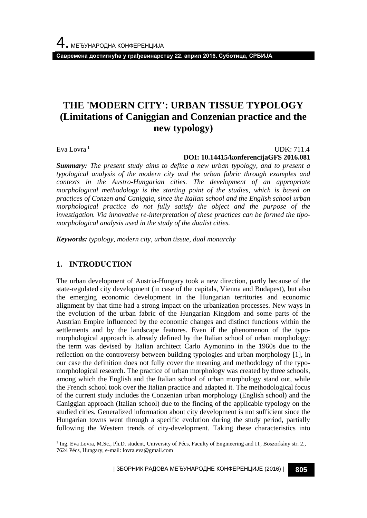**Савремена достигнућа у грађевинарству 22. април 2016. Суботица, СРБИЈА**

# **THE 'MODERN CITY': URBAN TISSUE TYPOLOGY (Limitations of Caniggian and Conzenian practice and the new typology)**

Eva Lovra<sup>1</sup>

#### UDK: 711.4 **DOI: 10.14415/konferencijaGFS 2016.081**

*Summary: The present study aims to define a new urban typology, and to present a typological analysis of the modern city and the urban fabric through examples and contexts in the Austro-Hungarian cities. The development of an appropriate morphological methodology is the starting point of the studies, which is based on practices of Conzen and Caniggia, since the Italian school and the English school urban morphological practice do not fully satisfy the object and the purpose of the investigation. Via innovative re-interpretation of these practices can be formed the tipomorphological analysis used in the study of the dualist cities.* 

*Keywords: typology, modern city, urban tissue, dual monarchy* 

## **1. INTRODUCTION**

l

The urban development of Austria-Hungary took a new direction, partly because of the state-regulated city development (in case of the capitals, Vienna and Budapest), but also the emerging economic development in the Hungarian territories and economic alignment by that time had a strong impact on the urbanization processes. New ways in the evolution of the urban fabric of the Hungarian Kingdom and some parts of the Austrian Empire influenced by the economic changes and distinct functions within the settlements and by the landscape features. Even if the phenomenon of the typomorphological approach is already defined by the Italian school of urban morphology: the term was devised by Italian architect Carlo Aymonino in the 1960s due to the reflection on the controversy between building typologies and urban morphology [1], in our case the definition does not fully cover the meaning and methodology of the typomorphological research. The practice of urban morphology was created by three schools, among which the English and the Italian school of urban morphology stand out, while the French school took over the Italian practice and adapted it*.* The methodological focus of the current study includes the Conzenian urban morphology (English school) and the Caniggian approach (Italian school) due to the finding of the applicable typology on the studied cities. Generalized information about city development is not sufficient since the Hungarian towns went through a specific evolution during the study period, partially following the Western trends of city-development. Taking these characteristics into

<sup>&</sup>lt;sup>1</sup> Ing. Eva Lovra, M.Sc., Ph.D. student, University of Pécs, Faculty of Engineering and IT, Boszorkány str. 2., 7624 Pécs, Hungary, e-mail: lovra.eva@gmail.com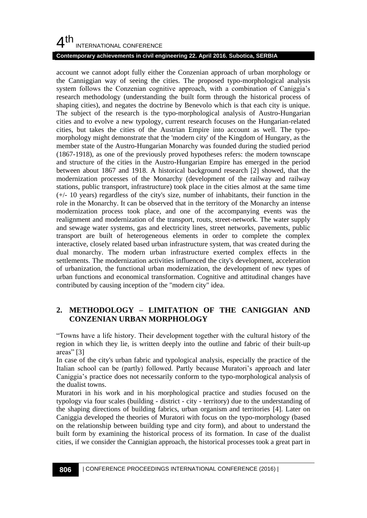#### **Contemporary achievements in civil engineering 22. April 2016. Subotica, SERBIA**

account we cannot adopt fully either the Conzenian approach of urban morphology or the Canniggian way of seeing the cities. The proposed typo-morphological analysis system follows the Conzenian cognitive approach, with a combination of Caniggia's research methodology (understanding the built form through the historical process of shaping cities), and negates the doctrine by Benevolo which is that each city is unique. The subject of the research is the typo-morphological analysis of Austro-Hungarian cities and to evolve a new typology, current research focuses on the Hungarian-related cities, but takes the cities of the Austrian Empire into account as well. The typomorphology might demonstrate that the 'modern city' of the Kingdom of Hungary, as the member state of the Austro-Hungarian Monarchy was founded during the studied period (1867-1918), as one of the previously proved hypotheses refers: the modern townscape and structure of the cities in the Austro-Hungarian Empire has emerged in the period between about 1867 and 1918. A historical background research [2] showed, that the modernization processes of the Monarchy (development of the railway and railway stations, public transport, infrastructure) took place in the cities almost at the same time (+/- 10 years) regardless of the city's size, number of inhabitants, their function in the role in the Monarchy. It can be observed that in the territory of the Monarchy an intense modernization process took place, and one of the accompanying events was the realignment and modernization of the transport, routs, street-network. The water supply and sewage water systems, gas and electricity lines, street networks, pavements, public transport are built of heterogeneous elements in order to complete the complex interactive, closely related based urban infrastructure system, that was created during the dual monarchy. The modern urban infrastructure exerted complex effects in the settlements. The modernization activities influenced the city's development, acceleration of urbanization, the functional urban modernization, the development of new types of urban functions and economical transformation. Cognitive and attitudinal changes have contributed by causing inception of the "modern city" idea.

#### **2. METHODOLOGY – LIMITATION OF THE CANIGGIAN AND CONZENIAN URBAN MORPHOLOGY**

"Towns have a life history. Their development together with the cultural history of the region in which they lie, is written deeply into the outline and fabric of their built-up areas" [3]

In case of the city's urban fabric and typological analysis, especially the practice of the Italian school can be (partly) followed. Partly because Muratori's approach and later Caniggia's practice does not necessarily conform to the typo-morphological analysis of the dualist towns.

Muratori in his work and in his morphological practice and studies focused on the typology via four scales (building - district - city - territory) due to the understanding of the shaping directions of building fabrics, urban organism and territories [4]. Later on Caniggia developed the theories of Muratori with focus on the typo-morphology (based on the relationship between building type and city form), and about to understand the built form by examining the historical process of its formation. In case of the dualist cities, if we consider the Cannigian approach, the historical processes took a great part in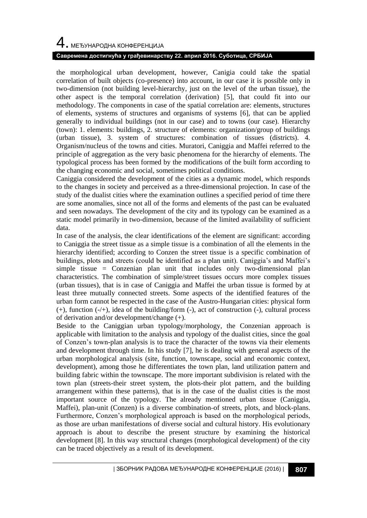# 4. МЕЂУНАРОДНА КОНФЕРЕНЦИЈА

#### **Савремена достигнућа у грађевинарству 22. април 2016. Суботица, СРБИЈА**

the morphological urban development, however, Canigia could take the spatial correlation of built objects (co-presence) into account, in our case it is possible only in two-dimension (not building level-hierarchy, just on the level of the urban tissue), the other aspect is the temporal correlation (derivation) [5], that could fit into our methodology. The components in case of the spatial correlation are: elements, structures of elements, systems of structures and organisms of systems [6], that can be applied generally to individual buildings (not in our case) and to towns (our case). Hierarchy (town): 1. elements: buildings, 2. structure of elements: organization/group of buildings (urban tissue), 3. system of structures: combination of tissues (districts). 4. Organism/nucleus of the towns and cities. Muratori, Caniggia and Maffei referred to the principle of aggregation as the very basic phenomena for the hierarchy of elements. The typological process has been formed by the modifications of the built form according to the changing economic and social, sometimes political conditions.

Caniggia considered the development of the cities as a dynamic model, which responds to the changes in society and perceived as a three-dimensional projection. In case of the study of the dualist cities where the examination outlines a specified period of time there are some anomalies, since not all of the forms and elements of the past can be evaluated and seen nowadays. The development of the city and its typology can be examined as a static model primarily in two-dimension, because of the limited availability of sufficient data.

In case of the analysis, the clear identifications of the element are significant: according to Caniggia the street tissue as a simple tissue is a combination of all the elements in the hierarchy identified; according to Conzen the street tissue is a specific combination of buildings, plots and streets (could be identified as a plan unit). Caniggia's and Maffei's simple tissue = Conzenian plan unit that includes only two-dimensional plan characteristics. The combination of simple/street tissues occurs more complex tissues (urban tissues), that is in case of Caniggia and Maffei the urban tissue is formed by at least three mutually connected streets. Some aspects of the identified features of the urban form cannot be respected in the case of the Austro-Hungarian cities: physical form (+), function (-/+), idea of the building/form (-), act of construction (-), cultural process of derivation and/or development/change (+).

Beside to the Caniggian urban typology/morphology, the Conzenian approach is applicable with limitation to the analysis and typology of the dualist cities, since the goal of Conzen's town-plan analysis is to trace the character of the towns via their elements and development through time. In his study [7], he is dealing with general aspects of the urban morphological analysis (site, function, townscape, social and economic context, development), among those he differentiates the town plan, land utilization pattern and building fabric within the townscape. The more important subdivision is related with the town plan (streets-their street system, the plots-their plot pattern, and the building arrangement within these patterns), that is in the case of the dualist cities is the most important source of the typology. The already mentioned urban tissue (Caniggia, Maffei), plan-unit (Conzen) is a diverse combination of streets, plots, and block-plans. Furthermore, Conzen's morphological approach is based on the morphological periods, as those are urban manifestations of diverse social and cultural history. His evolutionary approach is about to describe the present structure by examining the historical development [8]. In this way structural changes (morphological development) of the city can be traced objectively as a result of its development.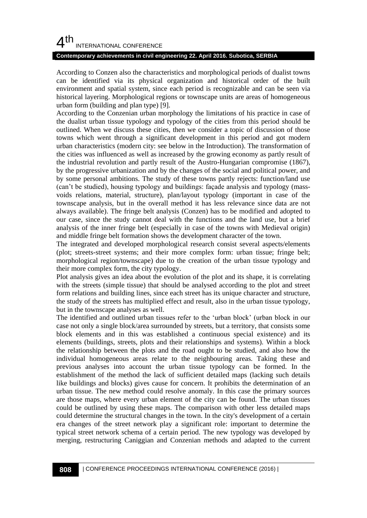#### **Contemporary achievements in civil engineering 22. April 2016. Subotica, SERBIA**

According to Conzen also the characteristics and morphological periods of dualist towns can be identified via its physical organization and historical order of the built environment and spatial system, since each period is recognizable and can be seen via historical layering. Morphological regions or townscape units are areas of homogeneous urban form (building and plan type) [9].

According to the Conzenian urban morphology the limitations of his practice in case of the dualist urban tissue typology and typology of the cities from this period should be outlined. When we discuss these cities, then we consider a topic of discussion of those towns which went through a significant development in this period and got modern urban characteristics (modern city: see below in the Introduction). The transformation of the cities was influenced as well as increased by the growing economy as partly result of the industrial revolution and partly result of the Austro-Hungarian compromise (1867), by the progressive urbanization and by the changes of the social and political power, and by some personal ambitions. The study of these towns partly rejects: function/land use (can't be studied), housing typology and buildings: façade analysis and typology (massvoids relations, material, structure), plan/layout typology (important in case of the townscape analysis, but in the overall method it has less relevance since data are not always available). The fringe belt analysis (Conzen) has to be modified and adopted to our case, since the study cannot deal with the functions and the land use, but a brief analysis of the inner fringe belt (especially in case of the towns with Medieval origin) and middle fringe belt formation shows the development character of the town.

The integrated and developed morphological research consist several aspects/elements (plot; streets-street systems; and their more complex form: urban tissue; fringe belt; morphological region/townscape) due to the creation of the urban tissue typology and their more complex form, the city typology.

Plot analysis gives an idea about the evolution of the plot and its shape, it is correlating with the streets (simple tissue) that should be analysed according to the plot and street form relations and building lines, since each street has its unique character and structure, the study of the streets has multiplied effect and result, also in the urban tissue typology, but in the townscape analyses as well.

The identified and outlined urban tissues refer to the 'urban block' (urban block in our case not only a single block/area surrounded by streets, but a territory, that consists some block elements and in this was established a continuous special existence) and its elements (buildings, streets, plots and their relationships and systems). Within a block the relationship between the plots and the road ought to be studied, and also how the individual homogeneous areas relate to the neighbouring areas. Taking these and previous analyses into account the urban tissue typology can be formed. In the establishment of the method the lack of sufficient detailed maps (lacking such details like buildings and blocks) gives cause for concern. It prohibits the determination of an urban tissue. The new method could resolve anomaly. In this case the primary sources are those maps, where every urban element of the city can be found. The urban tissues could be outlined by using these maps. The comparison with other less detailed maps could determine the structural changes in the town. In the city's development of a certain era changes of the street network play a significant role: important to determine the typical street network schema of a certain period. The new typology was developed by merging, restructuring Caniggian and Conzenian methods and adapted to the current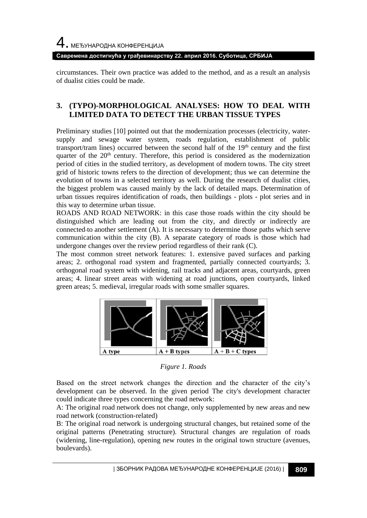**Савремена достигнућа у грађевинарству 22. април 2016. Суботица, СРБИЈА**

circumstances. Their own practice was added to the method, and as a result an analysis of dualist cities could be made.

#### **3. (TYPO)-MORPHOLOGICAL ANALYSES: HOW TO DEAL WITH LIMITED DATA TO DETECT THE URBAN TISSUE TYPES**

Preliminary studies [10] pointed out that the modernization processes (electricity, watersupply and sewage water system, roads regulation, establishment of public transport/tram lines) occurred between the second half of the  $19<sup>th</sup>$  century and the first quarter of the  $20<sup>th</sup>$  century. Therefore, this period is considered as the modernization period of cities in the studied territory, as development of modern towns. The city street grid of historic towns refers to the direction of development; thus we can determine the evolution of towns in a selected territory as well. During the research of dualist cities, the biggest problem was caused mainly by the lack of detailed maps. Determination of urban tissues requires identification of roads, then buildings - plots - plot series and in this way to determine urban tissue.

ROADS AND ROAD NETWORK: in this case those roads within the city should be distinguished which are leading out from the city, and directly or indirectly are connected to another settlement (A). It is necessary to determine those paths which serve communication within the city (B). A separate category of roads is those which had undergone changes over the review period regardless of their rank (C).

The most common street network features: 1. extensive paved surfaces and parking areas; 2. orthogonal road system and fragmented, partially connected courtyards; 3. orthogonal road system with widening, rail tracks and adjacent areas, courtyards, green areas; 4. linear street areas with widening at road junctions, open courtyards, linked green areas; 5. medieval, irregular roads with some smaller squares.



*Figure 1. Roads*

Based on the street network changes the direction and the character of the city's development can be observed. In the given period The city's development character could indicate three types concerning the road network:

A: The original road network does not change, only supplemented by new areas and new road network (construction-related)

B: The original road network is undergoing structural changes, but retained some of the original patterns (Penetrating structure). Structural changes are regulation of roads (widening, line-regulation), opening new routes in the original town structure (avenues, boulevards).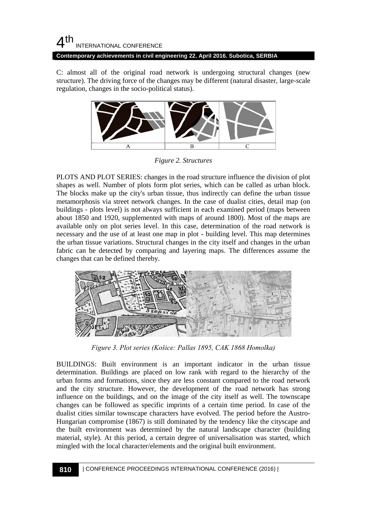#### $4<sup>th</sup>$ INTERNATIONAL CONFERENCE **Contemporary achievements in civil engineering 22. April 2016. Subotica, SERBIA**

C: almost all of the original road network is undergoing structural changes (new structure). The driving force of the changes may be different (natural disaster, large-scale regulation, changes in the socio-political status).



*Figure 2. Structures*

PLOTS AND PLOT SERIES: changes in the road structure influence the division of plot shapes as well. Number of plots form plot series, which can be called as urban block. The blocks make up the city's urban tissue, thus indirectly can define the urban tissue metamorphosis via street network changes. In the case of dualist cities, detail map (on buildings - plots level) is not always sufficient in each examined period (maps between about 1850 and 1920, supplemented with maps of around 1800). Most of the maps are available only on plot series level. In this case, determination of the road network is necessary and the use of at least one map in plot - building level. This map determines the urban tissue variations. Structural changes in the city itself and changes in the urban fabric can be detected by comparing and layering maps. The differences assume the changes that can be defined thereby.



*Figure 3. Plot series (Košice: Pallas 1895, CAK 1868 Homolka)*

BUILDINGS: Built environment is an important indicator in the urban tissue determination. Buildings are placed on low rank with regard to the hierarchy of the urban forms and formations, since they are less constant compared to the road network and the city structure. However, the development of the road network has strong influence on the buildings, and on the image of the city itself as well. The townscape changes can be followed as specific imprints of a certain time period. In case of the dualist cities similar townscape characters have evolved. The period before the Austro-Hungarian compromise (1867) is still dominated by the tendency like the cityscape and the built environment was determined by the natural landscape character (building material, style). At this period, a certain degree of universalisation was started, which mingled with the local character/elements and the original built environment.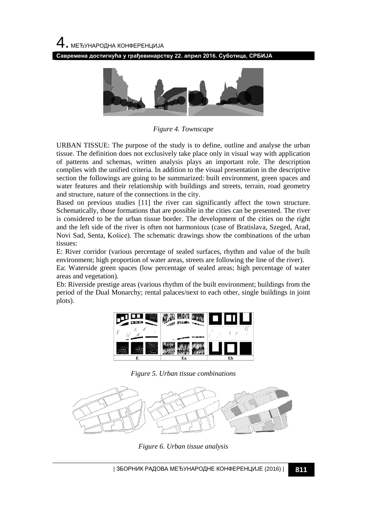4. МЕЂУНАРОДНА КОНФЕРЕНЦИЈА

**Савремена достигнућа у грађевинарству 22. април 2016. Суботица, СРБИЈА**



*Figure 4. Townscape*

URBAN TISSUE: The purpose of the study is to define, outline and analyse the urban tissue. The definition does not exclusively take place only in visual way with application of patterns and schemas, written analysis plays an important role. The description complies with the unified criteria. In addition to the visual presentation in the descriptive section the followings are going to be summarized: built environment, green spaces and water features and their relationship with buildings and streets, terrain, road geometry and structure, nature of the connections in the city.

Based on previous studies [11] the river can significantly affect the town structure. Schematically, those formations that are possible in the cities can be presented. The river is considered to be the urban tissue border. The development of the cities on the right and the left side of the river is often not harmonious (case of Bratislava, Szeged, Arad, Novi Sad, Senta, Košice). The schematic drawings show the combinations of the urban tissues:

E: River corridor (various percentage of sealed surfaces, rhythm and value of the built environment; high proportion of water areas, streets are following the line of the river).

Ea: Waterside green spaces (low percentage of sealed areas; high percentage of water areas and vegetation).

Eb: Riverside prestige areas (various rhythm of the built environment; buildings from the period of the Dual Monarchy; rental palaces/next to each other, single buildings in joint plots).



*Figure 5. Urban tissue combinations*



*Figure 6. Urban tissue analysis*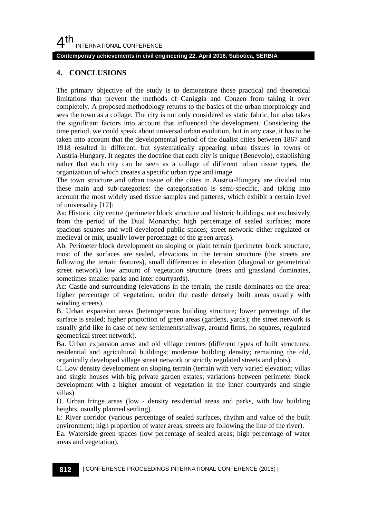#### **Contemporary achievements in civil engineering 22. April 2016. Subotica, SERBIA**

#### **4. CONCLUSIONS**

The primary objective of the study is to demonstrate those practical and theoretical limitations that prevent the methods of Caniggia and Conzen from taking it over completely. A proposed methodology returns to the basics of the urban morphology and sees the town as a collage. The city is not only considered as static fabric, but also takes the significant factors into account that influenced the development. Considering the time period, we could speak about universal urban evolution, but in any case, it has to be taken into account that the developmental period of the dualist cities between 1867 and 1918 resulted in different, but systematically appearing urban tissues in towns of Austria-Hungary. It negates the doctrine that each city is unique (Benevolo), establishing rather that each city can be seen as a collage of different urban tissue types, the organization of which creates a specific urban type and image.

The town structure and urban tissue of the cities in Austria-Hungary are divided into these main and sub-categories: the categorisation is semi-specific, and taking into account the most widely used tissue samples and patterns, which exhibit a certain level of universality [12]:

Aa: Historic city centre (perimeter block structure and historic buildings, not exclusively from the period of the Dual Monarchy; high percentage of sealed surfaces; more spacious squares and well developed public spaces; street network: either regulated or medieval or mix, usually lower percentage of the green areas).

Ab. Perimeter block development on sloping or plain terrain (perimeter block structure, most of the surfaces are sealed, elevations in the terrain structure (the streets are following the terrain features), small differences in elevation (diagonal or geometrical street network) low amount of vegetation structure (trees and grassland dominates, sometimes smaller parks and inter courtyards).

Ac: Castle and surrounding (elevations in the terrain; the castle dominates on the area; higher percentage of vegetation; under the castle densely built areas usually with winding streets).

B. Urban expansion areas (heterogeneous building structure; lower percentage of the surface is sealed; higher proportion of green areas (gardens, yards); the street network is usually grid like in case of new settlements/railway, around firms, no squares, regulated geometrical street network).

Ba. Urban expansion areas and old village centres (different types of built structures: residential and agricultural buildings; moderate building density; remaining the old, organically developed village street network or strictly regulated streets and plots).

C. Low density development on sloping terrain (terrain with very varied elevation; villas and single houses with big private garden estates; variations between perimeter block development with a higher amount of vegetation in the inner courtyards and single villas)

D. Urban fringe areas (low - density residential areas and parks, with low building heights, usually planned settling).

E: River corridor (various percentage of sealed surfaces, rhythm and value of the built environment; high proportion of water areas, streets are following the line of the river).

Ea. Waterside green spaces (low percentage of sealed areas; high percentage of water areas and vegetation).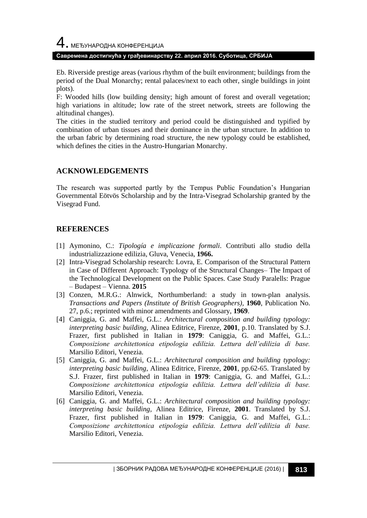#### **Савремена достигнућа у грађевинарству 22. април 2016. Суботица, СРБИЈА**

Eb. Riverside prestige areas (various rhythm of the built environment; buildings from the period of the Dual Monarchy; rental palaces/next to each other, single buildings in joint plots).

F: Wooded hills (low building density; high amount of forest and overall vegetation; high variations in altitude; low rate of the street network, streets are following the altitudinal changes).

The cities in the studied territory and period could be distinguished and typified by combination of urban tissues and their dominance in the urban structure. In addition to the urban fabric by determining road structure, the new typology could be established, which defines the cities in the Austro-Hungarian Monarchy.

## **ACKNOWLEDGEMENTS**

The research was supported partly by the Tempus Public Foundation's Hungarian Governmental Eötvös Scholarship and by the Intra-Visegrad Scholarship granted by the Visegrad Fund.

## **REFERENCES**

- [1] Aymonino, C.: *Tipología e implicazione formali*. Contributi allo studio della industrializzazione edilizia, Gluva, Venecia, **1966.**
- [2] Intra-Visegrad Scholarship research: Lovra, E. Comparison of the Structural Pattern in Case of Different Approach: Typology of the Structural Changes– The Impact of the Technological Development on the Public Spaces. Case Study Paralells: Prague – Budapest – Vienna. **2015**
- [3] Conzen, M.R.G.: Alnwick, Northumberland: a study in town-plan analysis. *Transactions and Papers (Institute of British Geographers)*, **1960**, Publication No. 27, p.6.; reprinted with minor amendments and Glossary, **1969**.
- [4] Caniggia, G. and Maffei, G.L.: *Architectural composition and building typology: interpreting basic building,* Alinea Editrice, Firenze, **2001**, p.10. Translated by S.J. Frazer, first published in Italian in **1979**: Caniggia, G. and Maffei, G.L.: *Composizione architettonica etipologia edilizia. Lettura dell'edilizia di base.* Marsilio Editori, Venezia.
- [5] Caniggia, G. and Maffei, G.L.: *Architectural composition and building typology: interpreting basic building,* Alinea Editrice, Firenze, **2001**, pp.62-65. Translated by S.J. Frazer, first published in Italian in **1979**: Caniggia, G. and Maffei, G.L.: *Composizione architettonica etipologia edilizia. Lettura dell'edilizia di base.* Marsilio Editori, Venezia.
- [6] Caniggia, G. and Maffei, G.L.: *Architectural composition and building typology: interpreting basic building,* Alinea Editrice, Firenze, **2001**. Translated by S.J. Frazer, first published in Italian in **1979**: Caniggia, G. and Maffei, G.L.: *Composizione architettonica etipologia edilizia. Lettura dell'edilizia di base.* Marsilio Editori, Venezia.